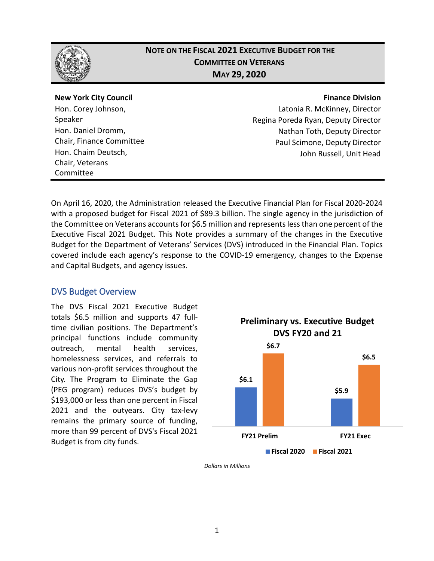

## **NOTE ON THE FISCAL 2021 EXECUTIVE BUDGET FOR THE COMMITTEE ON VETERANS MAY 29, 2020**

#### **New York City Council**

Hon. Corey Johnson, Speaker Hon. Daniel Dromm, Chair, Finance Committee Hon. Chaim Deutsch, Chair, Veterans Committee

#### **Finance Division**

Latonia R. McKinney, Director Regina Poreda Ryan, Deputy Director Nathan Toth, Deputy Director Paul Scimone, Deputy Director John Russell, Unit Head

On April 16, 2020, the Administration released the Executive Financial Plan for Fiscal 2020-2024 with a proposed budget for Fiscal 2021 of \$89.3 billion. The single agency in the jurisdiction of the Committee on Veterans accounts for \$6.5 million and represents less than one percent of the Executive Fiscal 2021 Budget. This Note provides a summary of the changes in the Executive Budget for the Department of Veterans' Services (DVS) introduced in the Financial Plan. Topics covered include each agency's response to the COVID-19 emergency, changes to the Expense and Capital Budgets, and agency issues.

## DVS Budget Overview

The DVS Fiscal 2021 Executive Budget totals \$6.5 million and supports 47 fulltime civilian positions. The Department's principal functions include community outreach, mental health services, homelessness services, and referrals to various non-profit services throughout the City. The Program to Eliminate the Gap (PEG program) reduces DVS's budget by \$193,000 or less than one percent in Fiscal 2021 and the outyears. City tax-levy remains the primary source of funding, more than 99 percent of DVS's Fiscal 2021 Budget is from city funds.



*Dollars in Millions*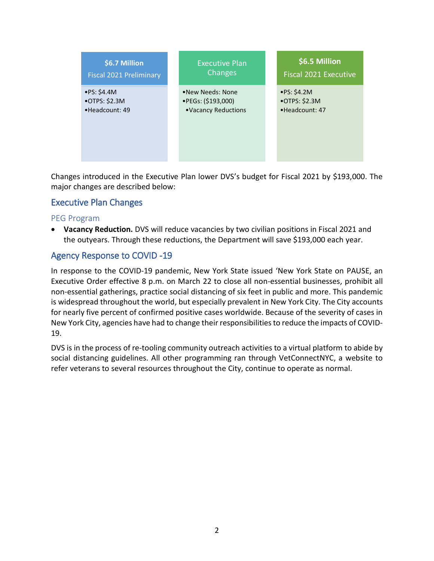

Changes introduced in the Executive Plan lower DVS's budget for Fiscal 2021 by \$193,000. The major changes are described below:

## Executive Plan Changes

#### PEG Program

• **Vacancy Reduction.** DVS will reduce vacancies by two civilian positions in Fiscal 2021 and the outyears. Through these reductions, the Department will save \$193,000 each year.

## Agency Response to COVID -19

In response to the COVID-19 pandemic, New York State issued 'New York State on PAUSE, an Executive Order effective 8 p.m. on March 22 to close all non-essential businesses, prohibit all non-essential gatherings, practice social distancing of six feet in public and more. This pandemic is widespread throughout the world, but especially prevalent in New York City. The City accounts for nearly five percent of confirmed positive cases worldwide. Because of the severity of cases in New York City, agencies have had to change their responsibilities to reduce the impacts of COVID-19.

DVS is in the process of re-tooling community outreach activities to a virtual platform to abide by social distancing guidelines. All other programming ran through VetConnectNYC, a website to refer veterans to several resources throughout the City, continue to operate as normal.